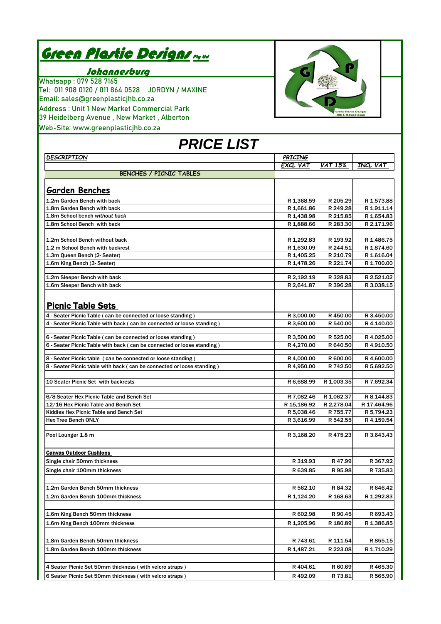| <u>Green Plastic Designs nyw</u> |  |
|----------------------------------|--|
|----------------------------------|--|

## Johannesburg

Whatsapp : 079 528 7165 Tel: 011 908 0120 / 011 864 0528 JORDYN / MAXINE Email: sales@greenplasticjhb.co.za Address : Unit 1 New Market Commercial Park 39 Heidelberg Avenue , New Market , Alberton Web-Site: www.greenplasticjhb.co.za



| <b>PRICE LIST</b>                                                      |                          |                      |                          |
|------------------------------------------------------------------------|--------------------------|----------------------|--------------------------|
| DESCRIPTION                                                            | PRICING                  |                      |                          |
|                                                                        | EXCL VAT                 | <b>VAT 15%</b>       | INCL VAT                 |
| <b>BENCHES / PICNIC TABLES</b>                                         |                          |                      |                          |
| <b>Garden Benches</b>                                                  |                          |                      |                          |
| 1.2m Garden Bench with back                                            | R 1,368.59               | R 205.29             | R 1,573.88               |
| 1.8m Garden Bench with back                                            | R 1,661.86               | R 249.28             | R 1,911.14               |
| 1.8m School bench without back                                         | R 1,438.98               | R 215.85             | R 1,654.83               |
| 1.8m School Bench with back                                            | R 1.888.66               | R 283.30             | R 2,171.96               |
|                                                                        |                          |                      |                          |
| 1,2m School Bench without back                                         | R 1,292.83               | R 193.92             | R 1,486.75               |
| 1.2 m School Bench with backrest                                       | R 1,630.09               | R 244.51             | R 1,874.60               |
| 1.3m Queen Bench (2- Seater)<br>1.6m King Bench (3- Seater)            | R 1,405.25<br>R 1,478.26 | R 210.79<br>R 221.74 | R 1,616.04<br>R 1,700.00 |
|                                                                        |                          |                      |                          |
| 1.2m Sleeper Bench with back                                           | R 2,192.19               | R 328.83             | R 2,521.02               |
| 1.6m Sleeper Bench with back                                           | R 2,641.87               | R 396.28             | R 3,038.15               |
| <b>Picnic Table Sets</b>                                               |                          |                      |                          |
| 4 - Seater Picnic Table ( can be connected or loose standing )         | R 3,000.00               | R450.00              | R 3,450.00               |
| 4 - Seater Picnic Table with back (can be connected or loose standing) | R 3,600.00               | R 540.00             | R 4,140.00               |
| 6 - Seater Picnic Table ( can be connected or loose standing )         | R 3,500.00               | R 525.00             | R 4,025.00               |
| 6 - Seater Picnic Table with back (can be connected or loose standing) | R4,270.00                | R 640.50             | R 4,910.50               |
|                                                                        |                          |                      |                          |
| 8 - Seater Picnic table ( can be connected or loose standing )         | R4,000.00                | R 600.00             | R 4,600.00               |
| 8 - Seater Picnic table with back (can be connected or loose standing) | R4.950.00                | R 742.50             | R 5,692.50               |
| 10 Seater Picnic Set with backrests                                    | R 6,688.99               | R 1,003.35           | R 7,692.34               |
| 6/8-Seater Hex Picnic Table and Bench Set                              | R 7,082.46               | R 1,062.37           | R 8,144.83               |
| 12/16 Hex Picnic Table and Bench Set                                   | R 15,186.92              | R 2,278.04           | R 17,464.96              |
| Kiddies Hex Picnic Table and Bench Set                                 | R 5,038.46               | R 755.77             | R 5,794.23               |
| <b>Hex Tree Bench ONLY</b>                                             | R 3,616.99               | R 542.55             | R 4,159.54               |
| Pool Lounger 1.8 m                                                     | R 3,168.20               | R475.23              | R 3,643.43               |
| <b>Canvas Outdoor Cushions</b>                                         |                          |                      |                          |
| Single chair 50mm thickness                                            | R 319.93                 | R47.99               | R 367.92                 |
| Single chair 100mm thickness                                           | R 639.85                 | R 95.98              | R 735.83                 |
|                                                                        |                          |                      |                          |
| 1.2m Garden Bench 50mm thickness                                       | R 562.10                 | R 84.32              | R 646.42                 |
| 1.2m Garden Bench 100mm thickness                                      | R 1,124.20               | R 168.63             | R 1,292.83               |
| 1.6m King Bench 50mm thickness                                         | R 602.98                 | R 90.45              | R 693.43                 |
| 1.6m King Bench 100mm thickness                                        | R 1,205.96               | R 180.89             | R 1,386.85               |
|                                                                        |                          |                      |                          |
| 1.8m Garden Bench 50mm thickness                                       | R 743.61                 | R 111.54             | R 855.15                 |
| 1.8m Garden Bench 100mm thickness                                      | R 1,487.21               | R 223.08             | R 1,710.29               |
| 4 Seater Picnic Set 50mm thickness (with velcro straps)                | R404.61                  | R 60.69              | R465.30                  |
| 6 Seater Picnic Set 50mm thickness (with velcro straps)                | R492.09                  | R 73.81              | R 565.90                 |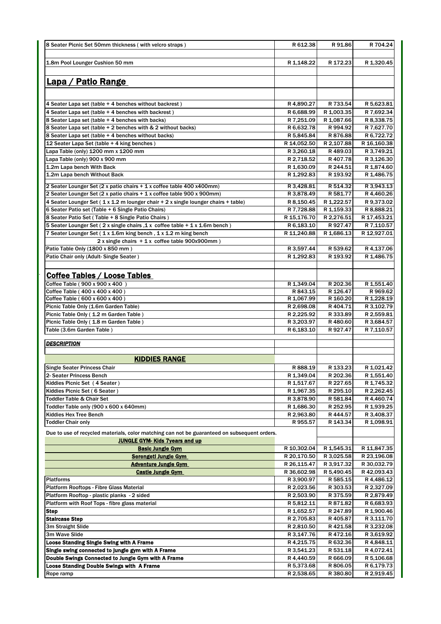| 8 Seater Picnic Set 50mm thickness (with velcro straps)                                         | R 612.38                   | R 91.86                  | R 704.24                               |
|-------------------------------------------------------------------------------------------------|----------------------------|--------------------------|----------------------------------------|
|                                                                                                 |                            |                          |                                        |
| 1.8m Pool Lounger Cushion 50 mm                                                                 | R 1,148.22                 | R 172.23                 | R 1,320.45                             |
|                                                                                                 |                            |                          |                                        |
| <u>Lapa / Patio Range</u>                                                                       |                            |                          |                                        |
|                                                                                                 |                            |                          |                                        |
|                                                                                                 |                            |                          |                                        |
| 4 Seater Lapa set (table + 4 benches without backrest)                                          | R4,890.27                  | R 733.54                 | R 5,623.81                             |
| 4 Seater Lapa set (table + 4 benches with backrest)                                             | R 6,688.99                 | R 1,003.35               | R 7,692.34                             |
| 8 Seater Lapa set (table + 4 benches with backs)                                                | R 7,251.09                 | R 1,087.66               | R 8,338.75                             |
| 8 Seater Lapa set (table + 2 benches with & 2 without backs)                                    | R 6,632.78                 | R 994.92                 | R 7,627.70                             |
| 8 Seater Lapa set (table + 4 benches without backs)                                             | R 5,845.84                 | R 876.88                 | R 6,722.72                             |
| 12 Seater Lapa Set (table + 4 king benches)                                                     | R 14,052.50                | R 2,107.88               | R 16,160.38                            |
| Lapa Table (only) 1200 mm x 1200 mm                                                             | R 3,260.18                 | R489.03                  | R 3,749.21                             |
| Lapa Table (only) 900 x 900 mm                                                                  | R 2,718.52                 | R407.78                  | R 3,126.30                             |
| 1.2m Lapa bench With Back                                                                       | R 1,630.09                 | R 244.51                 | R 1,874.60                             |
| 1.2m Lapa bench Without Back                                                                    | R 1,292.83                 | R 193.92                 | R 1,486.75                             |
| 2 Seater Lounger Set (2 x patio chairs + 1 x coffee table 400 x400mm)                           | R 3,428.81                 | R 514.32                 | R 3,943.13                             |
| 2 Seater Lounger Set (2 x patio chairs + 1 x coffee table 900 x 900mm)                          | R 3,878.49                 | R 581.77                 | R 4,460.26                             |
| 4 Seater Lounger Set (1 x 1.2 m lounger chair + 2 x single lounger chairs + table)              | R 8,150.45                 | R 1,222.57               | R 9,373.02                             |
| 6 Seater Patio set (Table + 6 Single Patio Chairs)                                              | R 7,728.88                 | R 1,159.33               | R 8,888.21                             |
| 8 Seater Patio Set (Table + 8 Single Patio Chairs)                                              | R 15,176.70                | R 2,276.51               | R 17,453.21                            |
| 5 Seater Lounger Set (2 x single chairs , 1 x coffee table + 1 x 1.6m bench)                    | R 6,183.10                 | R927.47                  | R 7,110.57                             |
| 7 Seater Lounger Set (1 x 1.6m king bench, 1 x 1.2 m king bench                                 | R 11,240.88                | R 1,686.13               | R 12,927.01                            |
| $2x$ single chairs $+1x$ coffee table 900x900mm)                                                |                            |                          |                                        |
| Patio Table Only (1800 x 850 mm)                                                                | R 3,597.44                 | R 539.62                 | R 4,137.06                             |
| Patio Chair only (Adult-Single Seater)                                                          | R 1,292.83                 | R 193.92                 | R 1,486.75                             |
|                                                                                                 |                            |                          |                                        |
| Coffee Tables / Loose Tables                                                                    |                            |                          |                                        |
| Coffee Table (900 x 900 x 400)                                                                  | R 1,349.04                 | R 202.36                 | R 1,551.40                             |
| Coffee Table (400 x 400 x 400)                                                                  | R 843.15                   | R 126.47                 | R 969.62                               |
| Coffee Table (600 x 600 x 400)                                                                  | R 1,067.99                 | R 160.20                 | R 1,228.19                             |
| Picnic Table Only (1.6m Garden Table)                                                           | R 2,698.08                 | R404.71                  | R 3,102.79                             |
| Picnic Table Only (1.2 m Garden Table)                                                          | R 2,225.92                 | R 333.89                 | R 2,559.81                             |
| Picnic Table Only (1.8 m Garden Table)                                                          | R 3,203.97                 | R480.60                  | R 3,684.57                             |
| Table (3.6m Garden Table)                                                                       | R 6,183.10                 | R927.47                  | R 7,110.57                             |
|                                                                                                 |                            |                          |                                        |
| <b>DESCRIPTION</b>                                                                              |                            |                          |                                        |
| <b>KIDDIES RANGE</b>                                                                            |                            |                          |                                        |
|                                                                                                 |                            |                          |                                        |
| <b>Single Seater Princess Chair</b>                                                             | R 888.19<br>R 1,349.04     | R 133.23<br>R 202.36     | R 1,021.42<br>R 1,551.40               |
| 2- Seater Princess Bench<br>Kiddies Picnic Set (4 Seater)                                       | R 1,517.67                 | R 227.65                 |                                        |
| Kiddies Picnic Set (6 Seater)                                                                   | R 1,967.35                 | R 295.10                 | R 1,745.32<br>R 2,262.45               |
| <b>Toddler Table &amp; Chair Set</b>                                                            | R 3,878.90                 | R 581.84                 | R4,460.74                              |
| Toddler Table only (900 x 600 x 640mm)                                                          | R 1,686.30                 | R 252.95                 | R 1,939.25                             |
| <b>Kiddies Hex Tree Bench</b>                                                                   | R 2,963.80                 | R444.57                  | R 3,408.37                             |
| <b>Toddler Chair only</b>                                                                       | R 955.57                   | R 143.34                 | R 1,098.91                             |
|                                                                                                 |                            |                          |                                        |
| Due to use of recycled materials, color matching can not be guaranteed on subsequent orders.    |                            |                          |                                        |
| <b>JUNGLE GYM-Kids 7years and up</b>                                                            |                            |                          |                                        |
| <b>Basic Jungle Gym</b>                                                                         | R 10,302.04<br>R 20,170.50 | R 1,545.31<br>R 3,025.58 | R 11,847.35<br>R 23,196.08             |
| <b>Serengeti Jungle Gym</b><br><b>Adventure Jungle Gym</b>                                      | R 26,115.47                | R 3,917.32               | R 30,032.79                            |
| <b>Castle Jungle Gym</b>                                                                        | R 36,602.98                | R 5,490.45               | R 42,093.43                            |
| <b>Platforms</b>                                                                                | R 3,900.97                 | R 585.15                 | R 4,486.12                             |
| Platform Rooftops - Fibre Glass Material                                                        | R 2,023.56                 | R 303.53                 | R 2,327.09                             |
| Platform Rooftop - plastic planks - 2 sided                                                     | R 2,503.90                 | R 375.59                 | R 2,879.49                             |
| Platform with Roof Tops - fibre glass material                                                  | R 5,812.11                 | R 871.82                 | R 6,683.93                             |
| <b>Step</b>                                                                                     | R 1,652.57                 | R 247.89                 | R 1,900.46                             |
| <b>Staircase Step</b>                                                                           | R 2,705.83                 | R405.87                  | R 3,111.70                             |
| 3m Straight Slide                                                                               | R 2,810.50                 | R421.58                  | R 3,232.08                             |
| 3m Wave Slide                                                                                   | R 3,147.76                 | R472.16                  | R 3,619.92                             |
| <b>Loose Standing Single Swing with A Frame</b>                                                 | R 4,215.75                 | R 632.36                 | R 4,848.11                             |
| Single swing connected to jungle gym with A Frame                                               |                            |                          | R 4,072.41                             |
|                                                                                                 | R 3,541.23                 | R 531.18                 |                                        |
|                                                                                                 | R4,440.59                  | R 666.09                 |                                        |
| Double Swings Connected to Jungle Gym with A Frame<br>Loose Standing Double Swings with A Frame | R 5,373.68                 | R 806.05                 |                                        |
| Rope ramp                                                                                       | R 2,538.65                 | R 380.80                 | R 5,106.68<br>R 6,179.73<br>R 2,919.45 |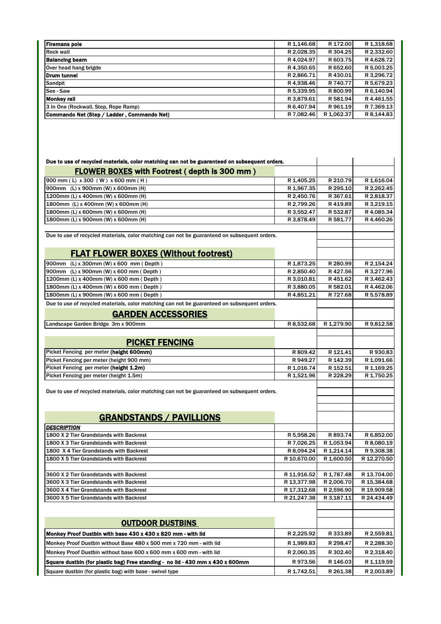|            | R 172.00   | R 1,318.68                                                       |
|------------|------------|------------------------------------------------------------------|
|            | R 304.25   | R 2,332.60                                                       |
| R 4,024.97 | R 603.75   | R 4,628.72                                                       |
|            | R 652.60   | R 5,003.25                                                       |
| R 2.866.71 | R430.01    | R 3,296.72                                                       |
|            | R 740.77   | R 5,679.23                                                       |
| R 5,339.95 | R 800.99   | R 6.140.94                                                       |
| R 3.879.61 | R 581.94   | R 4.461.55                                                       |
|            | R 961.19   | R 7,369.13                                                       |
| R 7.082.46 | R 1,062.37 | R 8,144.83                                                       |
|            |            | R 1,146.68<br>R 2,028.35<br>R4.350.65<br>R4.938.46<br>R 6.407.94 |

| Due to use of recycled materials, color matching can not be guaranteed on subsequent orders. |             |            |             |
|----------------------------------------------------------------------------------------------|-------------|------------|-------------|
| <b>FLOWER BOXES with Footrest (depth is 300 mm)</b>                                          |             |            |             |
| 900 mm (L) x 300 (W) x 600 mm (H)                                                            | R 1,405.25  | R 210.79   | R 1,616.04  |
| 900mm (L) x 900mm (W) x 600mm (H)                                                            | R 1,967.35  | R 295.10   | R 2,262.45  |
| 1200mm (L) x 400mm (W) x 600mm (H)                                                           | R 2,450.76  | R 367.61   | R 2,818.37  |
| 1800mm (L) x 400mm (W) x 600mm (H)                                                           | R 2,799.26  | R419.89    | R 3,219.15  |
| 1800mm (L) x 600mm (W) x 600mm (H)                                                           | R 3,552.47  | R 532.87   | R 4,085.34  |
| 1800mm (L) x 900mm (W) x 600mm (H)                                                           | R 3,878.49  | R 581.77   | R 4,460.26  |
|                                                                                              |             |            |             |
| Due to use of recycled materials, color matching can not be guaranteed on subsequent orders. |             |            |             |
| <b>FLAT FLOWER BOXES (Without footrest)</b>                                                  |             |            |             |
| 900mm (L) x 300mm (W) x 600 mm (Depth)                                                       | R 1,873.25  | R 280.99   | R 2,154.24  |
| 900mm (L) x 900mm (W) x 600 mm (Depth)                                                       | R 2,850.40  | R427.56    | R 3,277.96  |
| 1200mm (L) x 400mm (W) x 600 mm (Depth)                                                      | R 3,010.81  | R451.62    | R 3,462.43  |
| 1800mm (L) x 400mm (W) x 600 mm (Depth)                                                      | R 3,880.05  | R 582.01   | R 4,462.06  |
| 1800mm (L) x 900mm (W) x 600 mm (Depth)                                                      | R 4,851.21  | R 727.68   | R 5,578.89  |
| Due to use of recycled materials, color matching can not be guaranteed on subsequent orders. |             |            |             |
| <b>GARDEN ACCESSORIES</b>                                                                    |             |            |             |
| Landscape Garden Bridge 3m x 900mm                                                           | R 8,532.68  | R 1,279.90 | R 9,812.58  |
|                                                                                              |             |            |             |
| <b>PICKET FENCING</b>                                                                        |             |            |             |
| Picket Fencing per meter (helght 600mm)                                                      | R 809.42    | R 121.41   | R930.83     |
| Picket Fencing per meter (height 900 mm)                                                     | R 949.27    | R 142.39   | R 1,091.66  |
| Picket Fencing per meter (height 1.2m)                                                       | R 1,016.74  | R 152.51   | R 1,169.25  |
| Picket Fencing per meter (height 1.5m)                                                       | R 1,521.96  | R 228.29   | R 1,750.25  |
|                                                                                              |             |            |             |
| Due to use of recycled materials, color matching can not be guaranteed on subsequent orders. |             |            |             |
|                                                                                              |             |            |             |
|                                                                                              |             |            |             |
| <b>GRANDSTANDS / PAVILLIONS</b>                                                              |             |            |             |
| <b>DESCRIPTION</b>                                                                           |             |            |             |
| 1800 X 2 Tier Grandstands with Backrest                                                      | R 5,958.26  | R 893.74   | R 6,852.00  |
| 1800 X 3 Tier Grandstands with Backrest                                                      | R 7,026.25  | R 1,053.94 | R 8,080.19  |
| 1800 X 4 Tier Grandstands with Backrest                                                      | R 8,094.24  | R 1,214.14 | R 9,308.38  |
| 1800 X 5 Tier Grandstands with Backrest                                                      | R 10,670.00 | R 1,600.50 | R 12.270.50 |
|                                                                                              |             |            |             |
| 3600 X 2 Tier Grandstands with Backrest                                                      | R 11,916.52 | R 1,787.48 | R 13,704.00 |
| 3600 X 3 Tier Grandstands with Backrest                                                      | R 13,377.98 | R 2,006.70 | R 15,384.68 |
| 3600 X 4 Tier Grandstands with Backrest                                                      | R 17,312.68 | R 2,596.90 | R 19,909.58 |
| 3600 X 5 Tier Grandstands with Backrest                                                      | R 21,247.38 | R 3,187.11 | R 24,434.49 |
|                                                                                              |             |            |             |
| <b>OUTDOOR DUSTBINS</b>                                                                      |             |            |             |
|                                                                                              |             |            |             |
| Monkey Proof Dustbin with base 430 x 430 x 820 mm - with lid                                 | R 2,225.92  | R 333.89   | R 2,559.81  |
| Monkey Proof Dustbin without Base 480 x 500 mm x 720 mm - with lid                           | R 1,989.83  | R 298.47   | R 2,288.30  |
| Monkey Proof Dustbin without base 600 x 600 mm x 600 mm - with lid                           | R 2,060.35  | R 302.40   | R 2,318.40  |
| Square dustbin (for plastic bag) Free standing - no lid - 430 mm x 430 x 600mm               | R973.56     | R 146.03   | R 1,119.59  |
| Square dustbin (for plastic bag) with base - swivel type                                     | R 1,742.51  | R 261.38   | R 2,003.89  |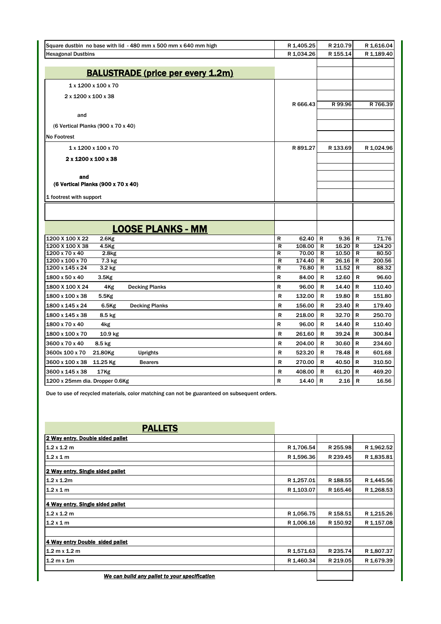| Square dustbin no base with lid - 480 mm x 500 mm x 640 mm high | R 1,405.25  | R 210.79   | R 1,616.04  |
|-----------------------------------------------------------------|-------------|------------|-------------|
| <b>Hexagonal Dustbins</b>                                       | R 1,034.26  | R 155.14   | R 1,189.40  |
|                                                                 |             |            |             |
| <b>BALUSTRADE (price per every 1.2m)</b>                        |             |            |             |
| $1 \times 1200 \times 100 \times 70$                            |             |            |             |
| 2 x 1200 x 100 x 38                                             |             |            |             |
|                                                                 | R 666.43    | R 99.96    | R 766.39    |
| and                                                             |             |            |             |
| (6 Vertical Planks (900 x 70 x 40)                              |             |            |             |
| <b>No Footrest</b>                                              |             |            |             |
| 1 x 1200 x 100 x 70                                             | R 891.27    | R 133.69   | R 1,024.96  |
| 2 x 1200 x 100 x 38                                             |             |            |             |
|                                                                 |             |            |             |
| and                                                             |             |            |             |
| (6 Vertical Planks (900 x 70 x 40)                              |             |            |             |
| 1 footrest with support                                         |             |            |             |
|                                                                 |             |            |             |
|                                                                 |             |            |             |
| <b>LOOSE PLANKS - MM</b>                                        |             |            |             |
| 1200 X 100 X 22<br>$2.6$ Kg                                     | R<br>62.40  | R<br>9.36  | R<br>71.76  |
| 1200 X 100 X 38<br>4.5Kg                                        | 108.00<br>R | 16.20<br>R | 124.20<br>R |
| 1200 x 70 x 40<br>2.8 <sub>kg</sub>                             | 70.00<br>R  | 10.50<br>R | 80.50<br>R  |
| 1200 x 100 x 70<br>$7.3 \text{ kg}$                             | 174.40<br>R | 26.16<br>R | 200.56<br>R |
| 1200 x 145 x 24<br>3.2 kg                                       | 76.80<br>R  | 11.52<br>R | R<br>88.32  |
| 1800 x 50 x 40<br>3.5 <sub>Kg</sub>                             | R<br>84.00  | 12.60<br>R | R<br>96.60  |
| 1800 X 100 X 24<br>4Kg<br><b>Decking Planks</b>                 | R<br>96.00  | R<br>14.40 | R<br>110.40 |
| 1800 x 100 x 38<br>5.5Kg                                        | R<br>132.00 | 19.80<br>R | R<br>151.80 |
| 1800 x 145 x 24<br>$6.5$ Kg<br><b>Decking Planks</b>            | R<br>156.00 | 23.40<br>R | 179.40<br>R |
| 1800 x 145 x 38<br>8.5 kg                                       | R<br>218.00 | 32.70<br>R | R<br>250.70 |
| 1800 x 70 x 40<br>4kg                                           | R<br>96.00  | R<br>14.40 | R<br>110.40 |
| 1800 x 100 x 70<br>10.9 kg                                      | R<br>261.60 | 39.24<br>R | R<br>300.84 |
| 3600 x 70 x 40<br>8.5 kg                                        | R<br>204.00 | R<br>30.60 | 234.60<br>R |
| 3600x 100 x 70<br>21.80Kg<br><b>Uprights</b>                    | R<br>523.20 | 78.48<br>R | 601.68<br>R |
| 3600 x 100 x 38<br>11.25 Kg<br><b>Bearers</b>                   | 270.00<br>R | 40.50<br>R | 310.50<br>R |
| 3600 x 145 x 38<br>17Kg                                         | R<br>408.00 | R<br>61.20 | 469.20<br>R |
| 1200 x 25mm dia. Dropper 0.6Kg                                  | R<br>14.40  | R<br>2.16  | R<br>16.56  |

Due to use of recycled materials, color matching can not be guaranteed on subsequent orders.

| <b>PALLETS</b>                                |            |          |            |
|-----------------------------------------------|------------|----------|------------|
| 2 Way entry. Double sided pallet              |            |          |            |
| $1.2 \times 1.2 \text{ m}$                    | R 1,706.54 | R 255.98 | R 1,962.52 |
| 1.2x1m                                        | R 1,596.36 | R 239.45 | R 1,835.81 |
| 2 Way entry. Single sided pallet              |            |          |            |
| $1.2 \times 1.2$ m                            | R 1,257.01 | R 188.55 | R 1,445.56 |
| $1.2 \times 1$ m                              | R 1,103.07 | R 165.46 | R 1,268.53 |
| 4 Way entry. Single sided pallet              |            |          |            |
| $1.2 \times 1.2 \text{ m}$                    | R 1,056.75 | R 158.51 | R 1,215.26 |
| $1.2 \times 1$ m                              | R 1,006.16 | R 150.92 | R 1,157.08 |
| 4 Way entry Double sided pallet               |            |          |            |
| $1.2 \text{ m} \times 1.2 \text{ m}$          | R 1,571.63 | R 235.74 | R 1,807.37 |
| $1.2 \text{ m} \times 1 \text{ m}$            | R 1,460.34 | R 219.05 | R 1,679.39 |
| We can build any pallet to your specification |            |          |            |